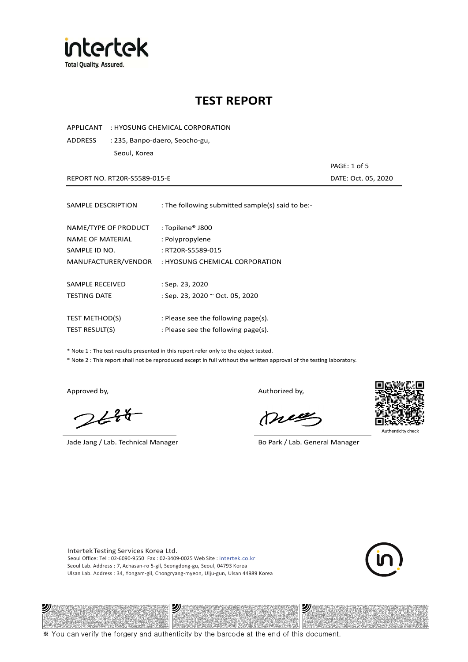

APPLICANT : HYOSUNG CHEMICAL CORPORATION

ADDRESS : 235, Banpo-daero, Seocho-gu, Seoul, Korea

REPORT NO. RT20R-S5589-015-E DATE: Oct. 05, 2020

PAGE: 1 of 5

| SAMPLE DESCRIPTION                                        | : The following submitted sample(s) said to be:-                     |
|-----------------------------------------------------------|----------------------------------------------------------------------|
| NAME/TYPE OF PRODUCT<br>NAME OF MATERIAL<br>SAMPLE ID NO. | : Topilene <sup>®</sup> J800<br>: Polypropylene<br>: RT20R-S5589-015 |
| MANUFACTURER/VENDOR                                       | : HYOSUNG CHEMICAL CORPORATION                                       |
|                                                           |                                                                      |
| SAMPLE RECEIVED                                           | : Sep. 23, 2020                                                      |
| <b>TESTING DATE</b>                                       | : Sep. 23, 2020 ~ Oct. 05, 2020                                      |
|                                                           |                                                                      |
| <b>TEST METHOD(S)</b>                                     | : Please see the following page(s).                                  |
| <b>TEST RESULT(S)</b>                                     | : Please see the following page(s).                                  |

\* Note 1 : The test results presented in this report refer only to the object tested.

\* Note 2 : This report shall not be reproduced except in full without the written approval of the testing laboratory.

 $2648$ 

Jade Jang / Lab. Technical Manager Bo Park / Lab. General Manager

Approved by, and the control of the control of the Authorized by,

Mie



Intertek Testing Services Korea Ltd. Seoul Office: Tel : 02-6090-9550 Fax : 02-3409-0025 Web Site : intertek.co.kr Seoul Lab. Address : 7, Achasan-ro 5-gil, Seongdong-gu, Seoul, 04793 Korea Ulsan Lab. Address : 34, Yongam-gil, Chongryang-myeon, Ulju-gun, Ulsan 44989 Korea



#### 2) 沙 沙

※ You can verify the forgery and authenticity by the barcode at the end of this document.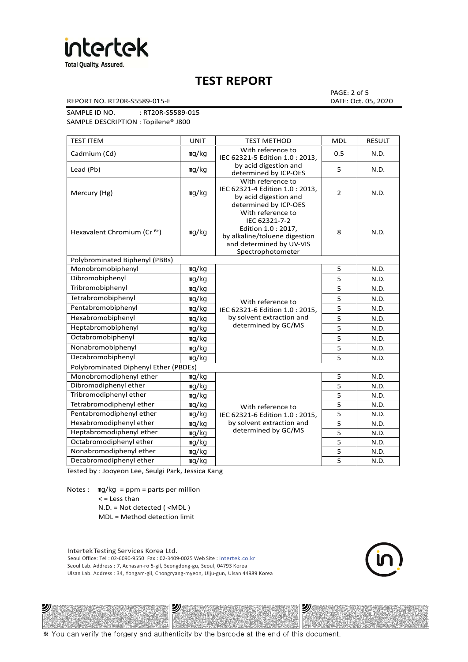

REPORT NO. RT20R-S5589-015-E DATE: Oct. 05, 2020

PAGE: 2 of 5

SAMPLE ID NO. : RT20R-S5589-015 SAMPLE DESCRIPTION : Topilene® J800

| <b>TEST ITEM</b>                        | <b>UNIT</b> | <b>TEST METHOD</b>                                                                                                                          | <b>MDL</b>     | <b>RESULT</b> |
|-----------------------------------------|-------------|---------------------------------------------------------------------------------------------------------------------------------------------|----------------|---------------|
| Cadmium (Cd)                            | mg/kg       | With reference to<br>IEC 62321-5 Edition 1.0 : 2013.                                                                                        | 0.5            | N.D.          |
| Lead (Pb)                               | mg/kg       | by acid digestion and<br>determined by ICP-OES                                                                                              | 5              | N.D.          |
| Mercury (Hg)                            | mq/kg       | With reference to<br>IEC 62321-4 Edition 1.0 : 2013,<br>by acid digestion and<br>determined by ICP-OES                                      | $\overline{2}$ | N.D.          |
| Hexavalent Chromium (Cr <sup>6+</sup> ) | mq/kg       | With reference to<br>IEC 62321-7-2<br>Edition 1.0 : 2017,<br>by alkaline/toluene digestion<br>and determined by UV-VIS<br>Spectrophotometer | 8              | N.D.          |
| Polybrominated Biphenyl (PBBs)          |             |                                                                                                                                             |                |               |
| Monobromobiphenyl                       | mg/kg       |                                                                                                                                             | 5              | N.D.          |
| Dibromobiphenyl                         | mg/kg       |                                                                                                                                             | 5              | N.D.          |
| Tribromobiphenyl                        | mg/kg       |                                                                                                                                             | 5              | N.D.          |
| Tetrabromobiphenyl                      | mg/kg       | With reference to                                                                                                                           | 5              | N.D.          |
| Pentabromobiphenyl                      | mg/kg       | IEC 62321-6 Edition 1.0: 2015,                                                                                                              | 5              | N.D.          |
| Hexabromobiphenyl                       | mq/kg       | by solvent extraction and                                                                                                                   | 5              | N.D.          |
| Heptabromobiphenyl                      | mg/kg       | determined by GC/MS                                                                                                                         | 5              | N.D.          |
| Octabromobiphenyl                       | mg/kg       |                                                                                                                                             | 5              | N.D.          |
| Nonabromobiphenyl                       | mg/kg       |                                                                                                                                             | 5              | N.D.          |
| Decabromobiphenyl                       | mg/kg       |                                                                                                                                             | 5              | N.D.          |
| Polybrominated Diphenyl Ether (PBDEs)   |             |                                                                                                                                             |                |               |
| Monobromodiphenyl ether                 | mg/kg       |                                                                                                                                             | 5              | N.D.          |
| Dibromodiphenyl ether                   | mg/kg       |                                                                                                                                             | 5              | N.D.          |
| Tribromodiphenyl ether                  | mg/kg       |                                                                                                                                             | $\overline{5}$ | N.D.          |
| Tetrabromodiphenyl ether                | mg/kg       | With reference to                                                                                                                           | 5              | N.D.          |
| Pentabromodiphenyl ether                | mg/kg       | IEC 62321-6 Edition 1.0 : 2015,                                                                                                             | 5              | N.D.          |
| Hexabromodiphenyl ether                 | mq/kg       | by solvent extraction and                                                                                                                   | 5              | N.D.          |
| Heptabromodiphenyl ether                | mg/kg       | determined by GC/MS                                                                                                                         | 5              | N.D.          |
| Octabromodiphenyl ether                 | mg/kg       |                                                                                                                                             | 5              | N.D.          |
| Nonabromodiphenyl ether                 | mg/kg       |                                                                                                                                             | 5              | N.D.          |
| Decabromodiphenyl ether                 | mg/kg       |                                                                                                                                             | 5              | N.D.          |

Tested by : Jooyeon Lee, Seulgi Park, Jessica Kang

Notes : mg/kg = ppm = parts per million  $<$  = Less than

ツル

N.D. = Not detected ( <MDL )

MDL = Method detection limit

Intertek Testing Services Korea Ltd. Seoul Office: Tel : 02-6090-9550 Fax : 02-3409-0025 Web Site : intertek.co.kr Seoul Lab. Address : 7, Achasan-ro 5-gil, Seongdong-gu, Seoul, 04793 Korea Ulsan Lab. Address : 34, Yongam-gil, Chongryang-myeon, Ulju-gun, Ulsan 44989 Korea

沙

沙

※ You can verify the forgery and authenticity by the barcode at the end of this document.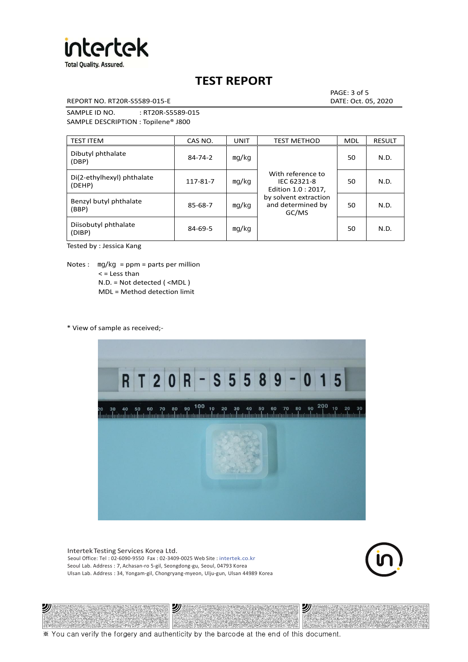

REPORT NO. RT20R-S5589-015-E DATE: Oct. 05, 2020

PAGE: 3 of 5

SAMPLE ID NO. : RT20R-S5589-015 SAMPLE DESCRIPTION : Topilene® J800

| <b>TEST ITEM</b>                     | CAS NO.       | UNIT  | <b>TEST METHOD</b>                                      | <b>MDL</b> | <b>RESULT</b> |
|--------------------------------------|---------------|-------|---------------------------------------------------------|------------|---------------|
| Dibutyl phthalate<br>(DBP)           | $84 - 74 - 2$ | mg/kg | With reference to<br>IEC 62321-8<br>Edition 1.0 : 2017, | 50         | N.D.          |
| Di(2-ethylhexyl) phthalate<br>(DEHP) | 117-81-7      | mg/kg |                                                         | 50         | N.D.          |
| Benzyl butyl phthalate<br>(BBP)      | 85-68-7       | mg/kg | by solvent extraction<br>and determined by<br>GC/MS     | 50         | N.D.          |
| Diisobutyl phthalate<br>(DIBP)       | $84 - 69 - 5$ | mg/kg |                                                         | 50         | N.D.          |

Tested by : Jessica Kang

Notes :  $mq/kg = ppm = parts per million$  $<$  = Less than N.D. = Not detected ( <MDL ) MDL = Method detection limit

\* View of sample as received;-

沙



Intertek Testing Services Korea Ltd. Seoul Office: Tel : 02-6090-9550 Fax : 02-3409-0025 Web Site : intertek.co.kr Seoul Lab. Address : 7, Achasan-ro 5-gil, Seongdong-gu, Seoul, 04793 Korea Ulsan Lab. Address : 34, Yongam-gil, Chongryang-myeon, Ulju-gun, Ulsan 44989 Korea

沙



沙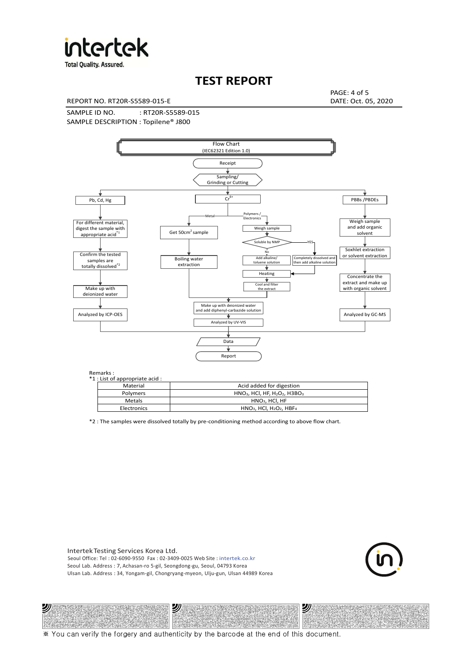

**Total Quality. Assured.** 

### **TEST REPORT**

REPORT NO. RT20R-S5589-015-E DATE: Oct. 05, 2020

PAGE: 4 of 5

SAMPLE ID NO. : RT20R-S5589-015 SAMPLE DESCRIPTION : Topilene® J800



| *1 : List of appropriate acid : |                                                                     |
|---------------------------------|---------------------------------------------------------------------|
| Material                        | Acid added for digestion                                            |
| <b>Polymers</b>                 | $HNO3$ , HCl, HF, H <sub>2</sub> O <sub>2</sub> , H3BO <sub>3</sub> |
| Metals                          | $HNO3$ , HCl, HF                                                    |
| Electronics                     | $HNO3$ , HCl, H <sub>2</sub> O <sub>2</sub> , HBF <sub>4</sub>      |

\*2 : The samples were dissolved totally by pre-conditioning method according to above flow chart.

Intertek Testing Services Korea Ltd. Seoul Office: Tel : 02-6090-9550 Fax : 02-3409-0025 Web Site : intertek.co.kr Seoul Lab. Address : 7, Achasan-ro 5-gil, Seongdong-gu, Seoul, 04793 Korea Ulsan Lab. Address : 34, Yongam-gil, Chongryang-myeon, Ulju-gun, Ulsan 44989 Korea

沙

沙



沙